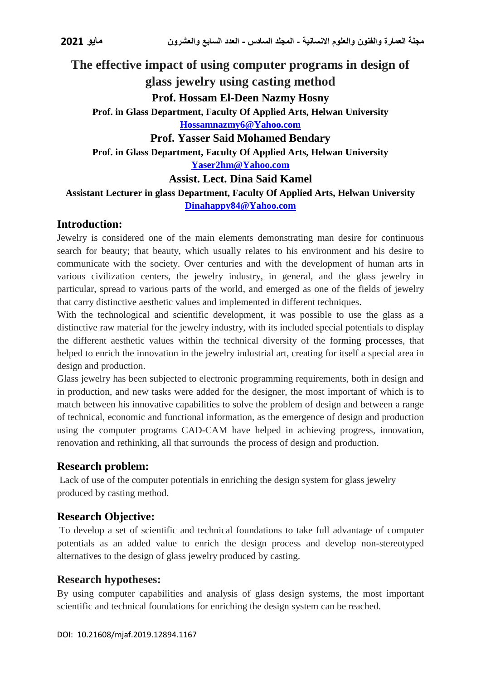# **The effective impact of using computer programs in design of**

**glass jewelry using casting method**

**Prof. Hossam El-Deen Nazmy Hosny**

**Prof. in Glass Department, Faculty Of Applied Arts, Helwan University [Hossamnazmy6@Yahoo.com](mailto:Hossamnazmy6@Yahoo.com)**

**Prof. Yasser Said Mohamed Bendary**

**Prof. in Glass Department, Faculty Of Applied Arts, Helwan University**

**[Yaser2hm@Yahoo.com](mailto:Yaser2hm@Yahoo.com)**

### **Assist. Lect. Dina Said Kamel**

**Assistant Lecturer in glass Department, Faculty Of Applied Arts, Helwan University [Dinahappy84@Yahoo.com](mailto:Dinahappy84@Yahoo.com)**

### **Introduction:**

Jewelry is considered one of the main elements demonstrating man desire for continuous search for beauty; that beauty, which usually relates to his environment and his desire to communicate with the society. Over centuries and with the development of human arts in various civilization centers, the jewelry industry, in general, and the glass jewelry in particular, spread to various parts of the world, and emerged as one of the fields of jewelry that carry distinctive aesthetic values and implemented in different techniques.

With the technological and scientific development, it was possible to use the glass as a distinctive raw material for the jewelry industry, with its included special potentials to display the different aesthetic values within the technical diversity of the forming processes, that helped to enrich the innovation in the jewelry industrial art, creating for itself a special area in design and production.

Glass jewelry has been subjected to electronic programming requirements, both in design and in production, and new tasks were added for the designer, the most important of which is to match between his innovative capabilities to solve the problem of design and between a range of technical, economic and functional information, as the emergence of design and production using the computer programs CAD-CAM have helped in achieving progress, innovation, renovation and rethinking, all that surrounds the process of design and production.

# **Research problem:**

Lack of use of the computer potentials in enriching the design system for glass jewelry produced by casting method.

# **Research Objective:**

To develop a set of scientific and technical foundations to take full advantage of computer potentials as an added value to enrich the design process and develop non-stereotyped alternatives to the design of glass jewelry produced by casting.

# **Research hypotheses:**

By using computer capabilities and analysis of glass design systems, the most important scientific and technical foundations for enriching the design system can be reached.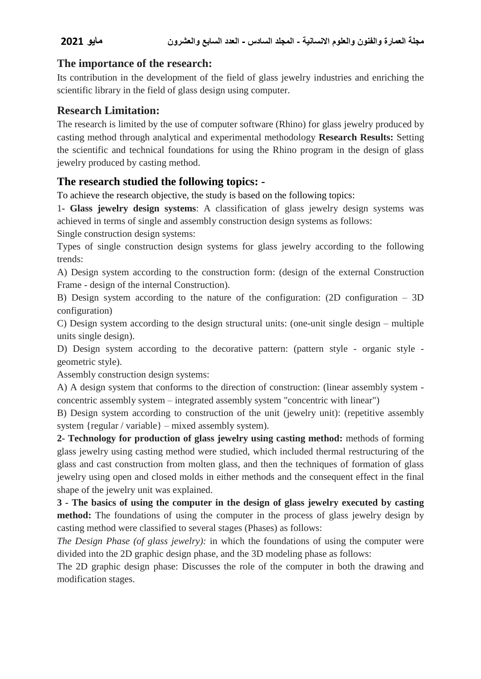### **The importance of the research:**

Its contribution in the development of the field of glass jewelry industries and enriching the scientific library in the field of glass design using computer.

### **Research Limitation:**

The research is limited by the use of computer software (Rhino) for glass jewelry produced by casting method through analytical and experimental methodology **Research Results:** Setting the scientific and technical foundations for using the Rhino program in the design of glass jewelry produced by casting method.

# **The research studied the following topics: -**

To achieve the research objective, the study is based on the following topics:

1**- Glass jewelry design systems**: A classification of glass jewelry design systems was achieved in terms of single and assembly construction design systems as follows:

Single construction design systems:

Types of single construction design systems for glass jewelry according to the following trends:

A) Design system according to the construction form: (design of the external Construction Frame - design of the internal Construction).

B) Design system according to the nature of the configuration: (2D configuration – 3D configuration)

C) Design system according to the design structural units: (one-unit single design – multiple units single design).

D) Design system according to the decorative pattern: (pattern style - organic style geometric style).

Assembly construction design systems:

A) A design system that conforms to the direction of construction: (linear assembly system concentric assembly system – integrated assembly system "concentric with linear")

B) Design system according to construction of the unit (jewelry unit): (repetitive assembly system {regular / variable} – mixed assembly system).

**2- Technology for production of glass jewelry using casting method:** methods of forming glass jewelry using casting method were studied, which included thermal restructuring of the glass and cast construction from molten glass, and then the techniques of formation of glass jewelry using open and closed molds in either methods and the consequent effect in the final shape of the jewelry unit was explained.

**3 - The basics of using the computer in the design of glass jewelry executed by casting method:** The foundations of using the computer in the process of glass jewelry design by casting method were classified to several stages (Phases) as follows:

*The Design Phase (of glass jewelry):* in which the foundations of using the computer were divided into the 2D graphic design phase, and the 3D modeling phase as follows:

The 2D graphic design phase: Discusses the role of the computer in both the drawing and modification stages.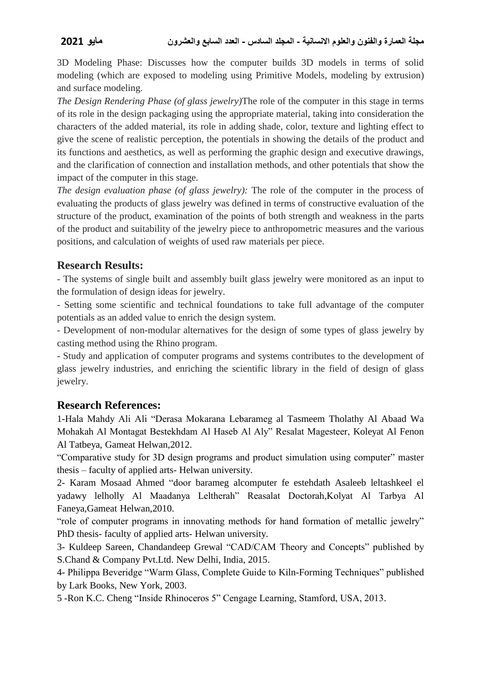3D Modeling Phase: Discusses how the computer builds 3D models in terms of solid modeling (which are exposed to modeling using Primitive Models, modeling by extrusion) and surface modeling.

*The Design Rendering Phase (of glass jewelry)*The role of the computer in this stage in terms of its role in the design packaging using the appropriate material, taking into consideration the characters of the added material, its role in adding shade, color, texture and lighting effect to give the scene of realistic perception, the potentials in showing the details of the product and its functions and aesthetics, as well as performing the graphic design and executive drawings, and the clarification of connection and installation methods, and other potentials that show the impact of the computer in this stage.

*The design evaluation phase (of glass jewelry):* The role of the computer in the process of evaluating the products of glass jewelry was defined in terms of constructive evaluation of the structure of the product, examination of the points of both strength and weakness in the parts of the product and suitability of the jewelry piece to anthropometric measures and the various positions, and calculation of weights of used raw materials per piece.

# **Research Results:**

- The systems of single built and assembly built glass jewelry were monitored as an input to the formulation of design ideas for jewelry.

- Setting some scientific and technical foundations to take full advantage of the computer potentials as an added value to enrich the design system.

- Development of non-modular alternatives for the design of some types of glass jewelry by casting method using the Rhino program.

- Study and application of computer programs and systems contributes to the development of glass jewelry industries, and enriching the scientific library in the field of design of glass jewelry.

# **Research References:**

1-Hala Mahdy Ali Ali "Derasa Mokarana Lebarameg al Tasmeem Tholathy Al Abaad Wa Mohakah Al Montagat Bestekhdam Al Haseb Al Aly" Resalat Magesteer, Koleyat Al Fenon Al Tatbeya, Gameat Helwan,2012.

"Comparative study for 3D design programs and product simulation using computer" master thesis – faculty of applied arts- Helwan university.

2- Karam Mosaad Ahmed "door barameg alcomputer fe estehdath Asaleeb leltashkeel el yadawy lelholly Al Maadanya Leltherah" Reasalat Doctorah,Kolyat Al Tarbya Al Faneya,Gameat Helwan,2010.

"role of computer programs in innovating methods for hand formation of metallic jewelry" PhD thesis- faculty of applied arts- Helwan university.

3- Kuldeep Sareen, Chandandeep Grewal "CAD/CAM Theory and Concepts" published by S.Chand & Company Pvt.Ltd. New Delhi, India, 2015.

4- Philippa Beveridge "Warm Glass, Complete Guide to Kiln-Forming Techniques" published by Lark Books, New York, 2003.

5 -Ron K.C. Cheng "Inside Rhinoceros 5" Cengage Learning, Stamford, USA, 2013.